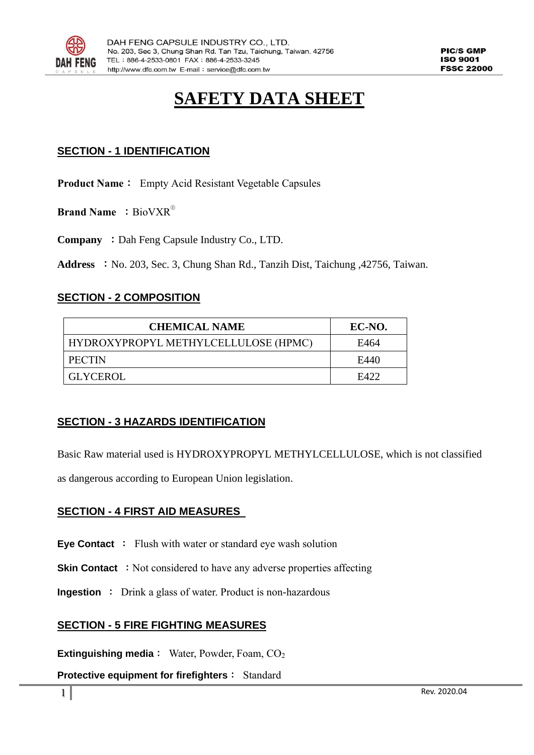

# **SAFETY DATA SHEET**

# **SECTION - 1 IDENTIFICATION**

**Product Name**: Empty Acid Resistant Vegetable Capsules

**Brand Name** : BioVXR<sup>®</sup>

**Company** : Dah Feng Capsule Industry Co., LTD.

**Address** :No. 203, Sec. 3, Chung Shan Rd., Tanzih Dist, Taichung ,42756, Taiwan.

#### **SECTION - 2 COMPOSITION**

| <b>CHEMICAL NAME</b>                 | EC-NO. |
|--------------------------------------|--------|
| HYDROXYPROPYL METHYLCELLULOSE (HPMC) | E464   |
| <b>PECTIN</b>                        | E440   |
| GLYCEROL                             | E422   |

# **SECTION - 3 HAZARDS IDENTIFICATION**

Basic Raw material used is HYDROXYPROPYL METHYLCELLULOSE, which is not classified

as dangerous according to European Union legislation.

#### **SECTION - 4 FIRST AID MEASURES**

**Eye Contact** : Flush with water or standard eye wash solution

**Skin Contact** : Not considered to have any adverse properties affecting

**Ingestion** : Drink a glass of water. Product is non-hazardous

#### **SECTION - 5 FIRE FIGHTING MEASURES**

**Extinguishing media**: Water, Powder, Foam, CO<sub>2</sub>

**Protective equipment for firefighters**: Standard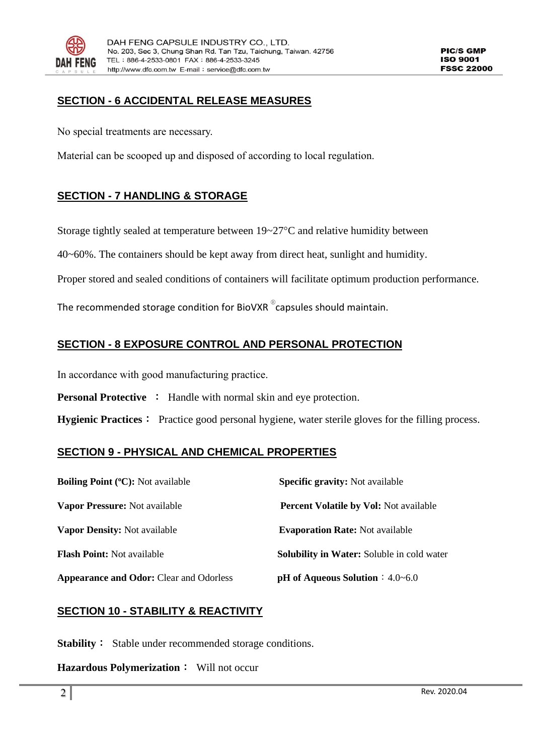

**PIC/S GMP** 150.9001 **FSSC 22000** 

# **SECTION - 6 ACCIDENTAL RELEASE MEASURES**

No special treatments are necessary.

Material can be scooped up and disposed of according to local regulation.

## **SECTION - 7 HANDLING & STORAGE**

Storage tightly sealed at temperature between  $19-27$ °C and relative humidity between

40~60%. The containers should be kept away from direct heat, sunlight and humidity.

Proper stored and sealed conditions of containers will facilitate optimum production performance.

The recommended storage condition for BioVXR  $^{\circ}$ capsules should maintain.

## **SECTION - 8 EXPOSURE CONTROL AND PERSONAL PROTECTION**

In accordance with good manufacturing practice.

**Personal Protective :** Handle with normal skin and eye protection.

**Hygienic Practices**: Practice good personal hygiene, water sterile gloves for the filling process.

#### **SECTION 9 - PHYSICAL AND CHEMICAL PROPERTIES**

| <b>Boiling Point (°C):</b> Not available       | <b>Specific gravity:</b> Not available            |
|------------------------------------------------|---------------------------------------------------|
| <b>Vapor Pressure:</b> Not available           | <b>Percent Volatile by Vol: Not available</b>     |
| <b>Vapor Density:</b> Not available            | <b>Evaporation Rate:</b> Not available            |
| <b>Flash Point:</b> Not available              | <b>Solubility in Water:</b> Soluble in cold water |
| <b>Appearance and Odor:</b> Clear and Odorless | <b>pH</b> of Aqueous Solution $: 4.0 - 6.0$       |

#### **SECTION 10 - STABILITY & REACTIVITY**

**Stability**: Stable under recommended storage conditions.

**Hazardous Polymerization**: Will not occur